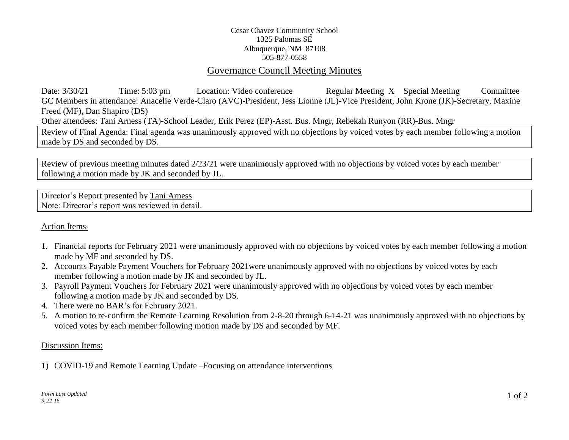# Cesar Chavez Community School 1325 Palomas SE Albuquerque, NM 87108 505-877-0558

# Governance Council Meeting Minutes

Date:  $3/30/21$  Time:  $5:03$  pm Location: Video conference Regular Meeting X Special Meeting Committee GC Members in attendance: Anacelie Verde-Claro (AVC)-President, Jess Lionne (JL)-Vice President, John Krone (JK)-Secretary, Maxine Freed (MF), Dan Shapiro (DS) Other attendees: Tani Arness (TA)-School Leader, Erik Perez (EP)-Asst. Bus. Mngr, Rebekah Runyon (RR)-Bus. Mngr

Review of Final Agenda: Final agenda was unanimously approved with no objections by voiced votes by each member following a motion made by DS and seconded by DS.

Review of previous meeting minutes dated 2/23/21 were unanimously approved with no objections by voiced votes by each member following a motion made by JK and seconded by JL.

Director's Report presented by Tani Arness Note: Director's report was reviewed in detail.

# Action Items:

- 1. Financial reports for February 2021 were unanimously approved with no objections by voiced votes by each member following a motion made by MF and seconded by DS.
- 2. Accounts Payable Payment Vouchers for February 2021were unanimously approved with no objections by voiced votes by each member following a motion made by JK and seconded by JL.
- 3. Payroll Payment Vouchers for February 2021 were unanimously approved with no objections by voiced votes by each member following a motion made by JK and seconded by DS.
- 4. There were no BAR's for February 2021.
- 5. A motion to re-confirm the Remote Learning Resolution from 2-8-20 through 6-14-21 was unanimously approved with no objections by voiced votes by each member following motion made by DS and seconded by MF.

### Discussion Items:

1) COVID-19 and Remote Learning Update –Focusing on attendance interventions